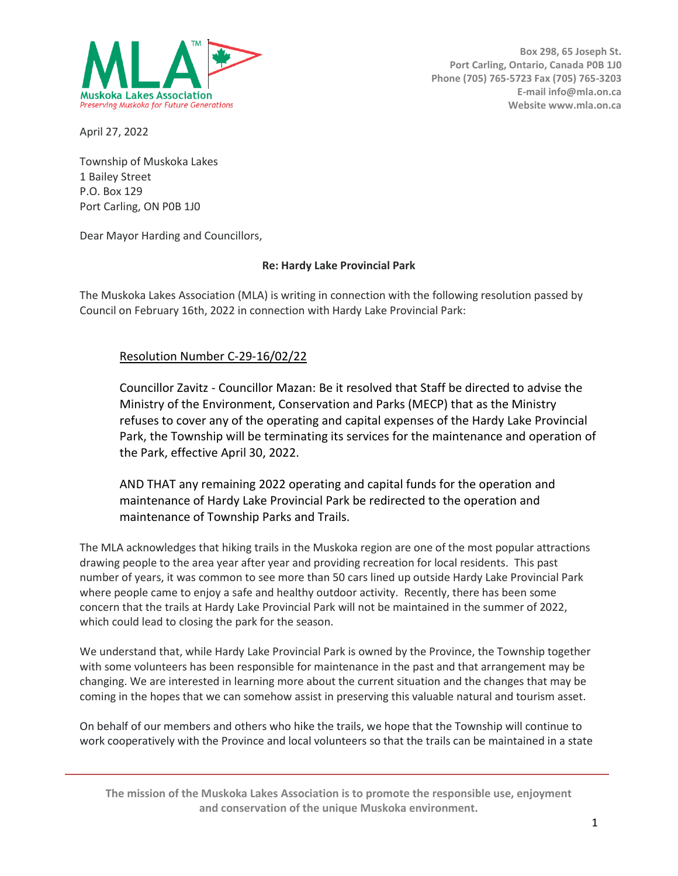

**Box 298, 65 Joseph St. Port Carling, Ontario, Canada P0B 1J0 Phone (705) 765-5723 Fax (705) 765-3203 E-mail info@mla.on.ca Website www.mla.on.ca**

April 27, 2022

Township of Muskoka Lakes 1 Bailey Street P.O. Box 129 Port Carling, ON P0B 1J0

Dear Mayor Harding and Councillors,

## **Re: Hardy Lake Provincial Park**

The Muskoka Lakes Association (MLA) is writing in connection with the following resolution passed by Council on February 16th, 2022 in connection with Hardy Lake Provincial Park:

## Resolution Number C-29-16/02/22

Councillor Zavitz - Councillor Mazan: Be it resolved that Staff be directed to advise the Ministry of the Environment, Conservation and Parks (MECP) that as the Ministry refuses to cover any of the operating and capital expenses of the Hardy Lake Provincial Park, the Township will be terminating its services for the maintenance and operation of the Park, effective April 30, 2022.

AND THAT any remaining 2022 operating and capital funds for the operation and maintenance of Hardy Lake Provincial Park be redirected to the operation and maintenance of Township Parks and Trails.

The MLA acknowledges that hiking trails in the Muskoka region are one of the most popular attractions drawing people to the area year after year and providing recreation for local residents. This past number of years, it was common to see more than 50 cars lined up outside Hardy Lake Provincial Park where people came to enjoy a safe and healthy outdoor activity. Recently, there has been some concern that the trails at Hardy Lake Provincial Park will not be maintained in the summer of 2022, which could lead to closing the park for the season.

We understand that, while Hardy Lake Provincial Park is owned by the Province, the Township together with some volunteers has been responsible for maintenance in the past and that arrangement may be changing. We are interested in learning more about the current situation and the changes that may be coming in the hopes that we can somehow assist in preserving this valuable natural and tourism asset.

On behalf of our members and others who hike the trails, we hope that the Township will continue to work cooperatively with the Province and local volunteers so that the trails can be maintained in a state

**The mission of the Muskoka Lakes Association is to promote the responsible use, enjoyment and conservation of the unique Muskoka environment.**